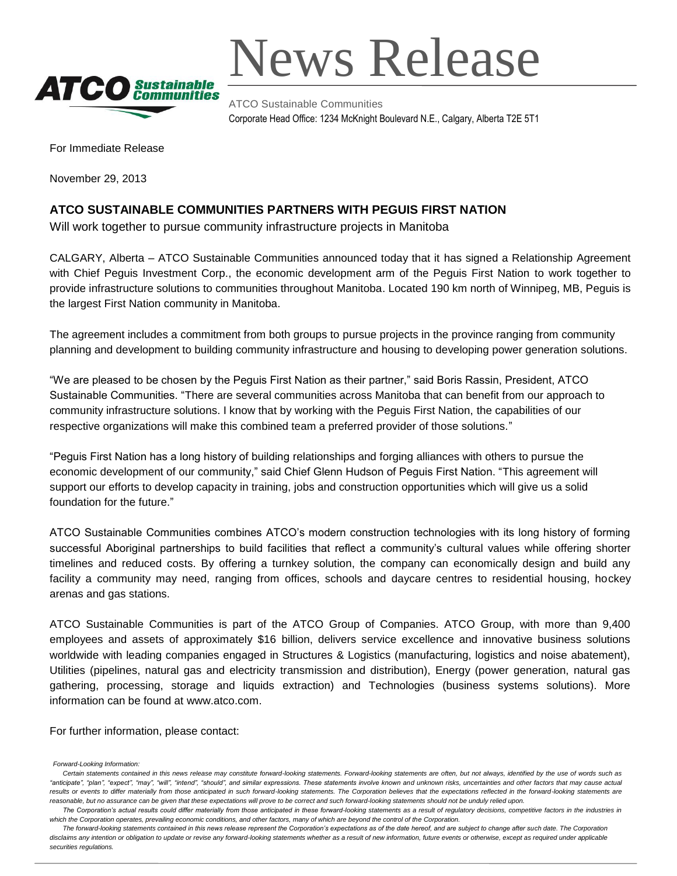

News Release

ATCO Sustainable Communities Corporate Head Office: 1234 McKnight Boulevard N.E., Calgary, Alberta T2E 5T1

For Immediate Release

November 29, 2013

## **ATCO SUSTAINABLE COMMUNITIES PARTNERS WITH PEGUIS FIRST NATION**

Will work together to pursue community infrastructure projects in Manitoba

CALGARY, Alberta – ATCO Sustainable Communities announced today that it has signed a Relationship Agreement with Chief Peguis Investment Corp., the economic development arm of the Peguis First Nation to work together to provide infrastructure solutions to communities throughout Manitoba. Located 190 km north of Winnipeg, MB, Peguis is the largest First Nation community in Manitoba.

The agreement includes a commitment from both groups to pursue projects in the province ranging from community planning and development to building community infrastructure and housing to developing power generation solutions.

"We are pleased to be chosen by the Peguis First Nation as their partner," said Boris Rassin, President, ATCO Sustainable Communities. "There are several communities across Manitoba that can benefit from our approach to community infrastructure solutions. I know that by working with the Peguis First Nation, the capabilities of our respective organizations will make this combined team a preferred provider of those solutions."

"Peguis First Nation has a long history of building relationships and forging alliances with others to pursue the economic development of our community," said Chief Glenn Hudson of Peguis First Nation. "This agreement will support our efforts to develop capacity in training, jobs and construction opportunities which will give us a solid foundation for the future."

ATCO Sustainable Communities combines ATCO's modern construction technologies with its long history of forming successful Aboriginal partnerships to build facilities that reflect a community's cultural values while offering shorter timelines and reduced costs. By offering a turnkey solution, the company can economically design and build any facility a community may need, ranging from offices, schools and daycare centres to residential housing, hockey arenas and gas stations.

ATCO Sustainable Communities is part of the ATCO Group of Companies. ATCO Group, with more than 9,400 employees and assets of approximately \$16 billion, delivers service excellence and innovative business solutions worldwide with leading companies engaged in Structures & Logistics (manufacturing, logistics and noise abatement), Utilities (pipelines, natural gas and electricity transmission and distribution), Energy (power generation, natural gas gathering, processing, storage and liquids extraction) and Technologies (business systems solutions). More information can be found at www.atco.com.

For further information, please contact:

 *The forward-looking statements contained in this news release represent the Corporation's expectations as of the date hereof, and are subject to change after such date. The Corporation*  disclaims any intention or obligation to update or revise any forward-looking statements whether as a result of new information, future events or otherwise, except as required under applicable *securities regulations.*

*Forward-Looking Information:*

Certain statements contained in this news release may constitute forward-looking statements. Forward-looking statements are often, but not always, identified by the use of words such as *"anticipate", "plan", "expect", "may", "will", "intend", "should", and similar expressions. These statements involve known and unknown risks, uncertainties and other factors that may cause actual*  results or events to differ materially from those anticipated in such forward-looking statements. The Corporation believes that the expectations reflected in the forward-looking statements are *reasonable, but no assurance can be given that these expectations will prove to be correct and such forward-looking statements should not be unduly relied upon.*

The Corporation's actual results could differ materially from those anticipated in these forward-looking statements as a result of regulatory decisions, competitive factors in the industries in *which the Corporation operates, prevailing economic conditions, and other factors, many of which are beyond the control of the Corporation.*